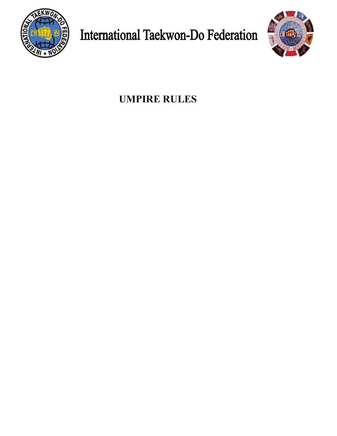

**International Taekwon-Do Federation** 



**UMPIRE RULES**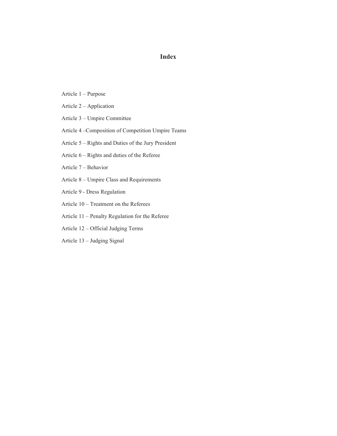# **Index**

- Article 1 Purpose
- Article 2 Application
- Article 3 Umpire Committee
- Article 4 Composition of Competition Umpire Teams
- Article 5 Rights and Duties of the Jury President
- Article 6 Rights and duties of the Referee
- Article 7 Behavior
- Article 8 Umpire Class and Requirements
- Article 9 Dress Regulation
- Article 10 Treatment on the Referees
- Article 11 Penalty Regulation for the Referee
- Article 12 Official Judging Terms
- Article 13 Judging Signal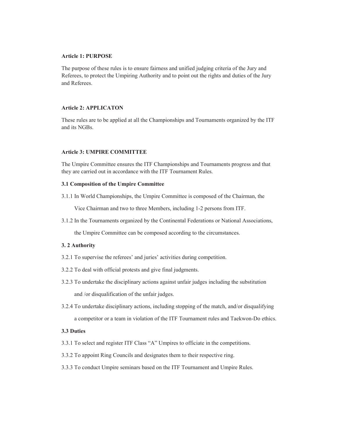## **Article 1: PURPOSE**

The purpose of these rules is to ensure fairness and unified judging criteria of the Jury and Referees, to protect the Umpiring Authority and to point out the rights and duties of the Jury and Referees.

### **Article 2: APPLICATON**

These rules are to be applied at all the Championships and Tournaments organized by the ITF and its NGBs.

### **Article 3: UMPIRE COMMITTEE**

The Umpire Committee ensures the ITF Championships and Tournaments progress and that they are carried out in accordance with the ITF Tournament Rules.

#### **3.1 Composition of the Umpire Committee**

3.1.1 In World Championships, the Umpire Committee is composed of the Chairman, the

Vice Chairman and two to three Members, including 1-2 persons from ITF.

3.1.2 In the Tournaments organized by the Continental Federations or National Associations,

the Umpire Committee can be composed according to the circumstances.

#### **3. 2 Authority**

- 3.2.1 To supervise the referees' and juries' activities during competition.
- 3.2.2 To deal with official protests and give final judgments.
- 3.2.3 To undertake the disciplinary actions against unfair judges including the substitution and /or disqualification of the unfair judges.
- 3.2.4 To undertake disciplinary actions, including stopping of the match, and/or disqualifying a competitor or a team in violation of the ITF Tournament rules and Taekwon-Do ethics.

### **3.3 Duties**

- 3.3.1 To select and register ITF Class "A" Umpires to officiate in the competitions.
- 3.3.2 To appoint Ring Councils and designates them to their respective ring.
- 3.3.3 To conduct Umpire seminars based on the ITF Tournament and Umpire Rules.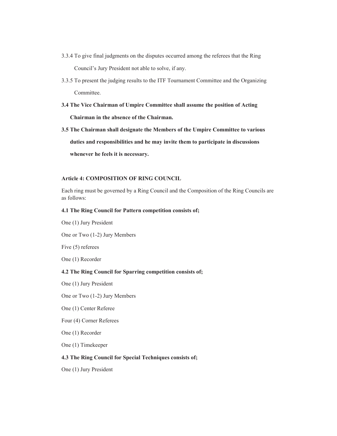- 3.3.4 To give final judgments on the disputes occurred among the referees that the Ring Council's Jury President not able to solve, if any.
- 3.3.5 To present the judging results to the ITF Tournament Committee and the Organizing Committee.
- **3.4 The Vice Chairman of Umpire Committee shall assume the position of Acting Chairman in the absence of the Chairman.**
- **3.5 The Chairman shall designate the Members of the Umpire Committee to various duties and responsibilities and he may invite them to participate in discussions whenever he feels it is necessary.**

## **Article 4: COMPOSITION OF RING COUNCIL**

Each ring must be governed by a Ring Council and the Composition of the Ring Councils are as follows:

## **4.1 The Ring Council for Pattern competition consists of;**

One (1) Jury President

One or Two (1-2) Jury Members

Five (5) referees

One (1) Recorder

## **4.2 The Ring Council for Sparring competition consists of;**

One (1) Jury President

One or Two (1-2) Jury Members

One (1) Center Referee

Four (4) Corner Referees

One (1) Recorder

One (1) Timekeeper

#### **4.3 The Ring Council for Special Techniques consists of;**

One (1) Jury President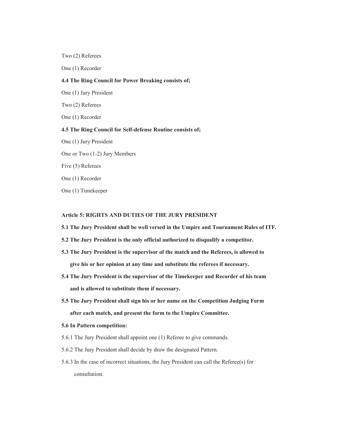Two (2) Referees

One (1) Recorder

#### **4.4 The Ring Council for Power Breaking consists of;**

One (1) Jury President

Two (2) Referees

One (1) Recorder

#### **4.5 The Ring Council for Self-defense Routine consists of;**

One (1) Jury President

One or Two (1-2) Jury Members

Five (5) Referees

One (1) Recorder

One (1) Timekeeper

## **Article 5: RIGHTS AND DUTIES OF THE JURY PRESIDENT**

**5.1 The Jury President shall be well versed in the Umpire and Tournament Rules of ITF.** 

- **5.2 The Jury President is the only official authorized to disqualify a competitor.**
- **5.3 The Jury President is the supervisor of the match and the Referees, is allowed to give his or her opinion at any time and substitute the referees if necessary.**
- **5.4 The Jury President is the supervisor of the Timekeeper and Recorder of his team and is allowed to substitute them if necessary.**
- **5.5 The Jury President shall sign his or her name on the Competition Judging Form after each match, and present the form to the Umpire Committee.**
- **5.6 In Pattern competition:**
- 5.6.1 The Jury President shall appoint one (1) Referee to give commands.
- 5.6.2 The Jury President shall decide by draw the designated Pattern.
- 5.6.3 In the case of incorrect situations, the Jury President can call the Referee(s) for consultation.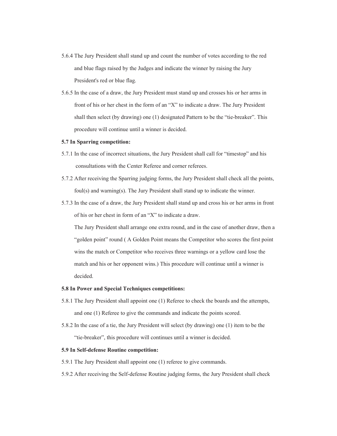- 5.6.4 The Jury President shall stand up and count the number of votes according to the red and blue flags raised by the Judges and indicate the winner by raising the Jury President's red or blue flag.
- 5.6.5 In the case of a draw, the Jury President must stand up and crosses his or her arms in front of his or her chest in the form of an "X" to indicate a draw. The Jury President shall then select (by drawing) one  $(1)$  designated Pattern to be the "tie-breaker". This procedure will continue until a winner is decided.

### **5.7 In Sparring competition:**

- 5.7.1 In the case of incorrect situations, the Jury President shall call for "timestop" and his consultations with the Center Referee and corner referees.
- 5.7.2 After receiving the Sparring judging forms, the Jury President shall check all the points, foul(s) and warning(s). The Jury President shall stand up to indicate the winner.
- 5.7.3 In the case of a draw, the Jury President shall stand up and cross his or her arms in front of his or her chest in form of an "X" to indicate a draw.

 The Jury President shall arrange one extra round, and in the case of another draw, then a "golden point" round (A Golden Point means the Competitor who scores the first point wins the match or Competitor who receives three warnings or a yellow card lose the match and his or her opponent wins.) This procedure will continue until a winner is decided.

#### **5.8 In Power and Special Techniques competitions:**

- 5.8.1 The Jury President shall appoint one (1) Referee to check the boards and the attempts, and one (1) Referee to give the commands and indicate the points scored.
- 5.8.2 In the case of a tie, the Jury President will select (by drawing) one (1) item to be the "tie-breaker", this procedure will continues until a winner is decided.

#### **5.9 In Self-defense Routine competition:**

- 5.9.1 The Jury President shall appoint one (1) referee to give commands.
- 5.9.2 After receiving the Self-defense Routine judging forms, the Jury President shall check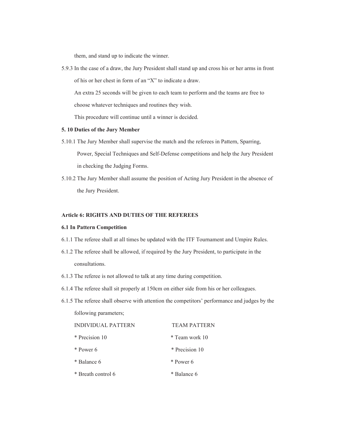them, and stand up to indicate the winner.

5.9.3 In the case of a draw, the Jury President shall stand up and cross his or her arms in front of his or her chest in form of an " $X$ " to indicate a draw.

An extra 25 seconds will be given to each team to perform and the teams are free to

choose whatever techniques and routines they wish.

This procedure will continue until a winner is decided.

#### **5. 10 Duties of the Jury Member**

5.10.1 The Jury Member shall supervise the match and the referees in Pattern, Sparring,

 Power, Special Techniques and Self-Defense competitions and help the Jury President in checking the Judging Forms.

5.10.2 The Jury Member shall assume the position of Acting Jury President in the absence of the Jury President.

## **Article 6: RIGHTS AND DUTIES OF THE REFEREES**

#### **6.1 In Pattern Competition**

- 6.1.1 The referee shall at all times be updated with the ITF Tournament and Umpire Rules.
- 6.1.2 The referee shall be allowed, if required by the Jury President, to participate in the consultations.
- 6.1.3 The referee is not allowed to talk at any time during competition.
- 6.1.4 The referee shall sit properly at 150cm on either side from his or her colleagues.
- $6.1.5$  The referee shall observe with attention the competitors' performance and judges by the following parameters;

| INDIVIDUAL PATTERN | <b>TEAM PATTERN</b> |
|--------------------|---------------------|
| * Precision 10     | * Team work 10      |
| * Power 6          | * Precision 10      |
| * Balance 6        | * Power 6           |
| * Breath control 6 | * Balance 6         |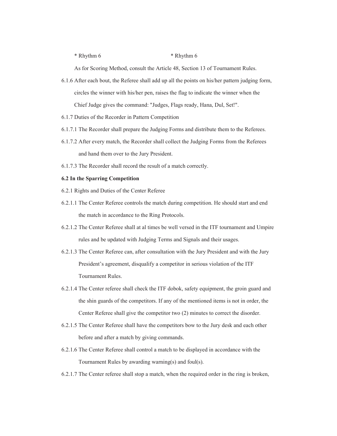#### \* Rhythm 6 \* Rhythm 6

As for Scoring Method, consult the Article 48, Section 13 of Tournament Rules.

- 6.1.6 After each bout, the Referee shall add up all the points on his/her pattern judging form, circles the winner with his/her pen, raises the flag to indicate the winner when the Chief Judge gives the command: "Judges, Flags ready, Hana, Dul, Set!".
- 6.1.7 Duties of the Recorder in Pattern Competition
- 6.1.7.1 The Recorder shall prepare the Judging Forms and distribute them to the Referees.
- 6.1.7.2 After every match, the Recorder shall collect the Judging Forms from the Referees and hand them over to the Jury President.
- 6.1.7.3 The Recorder shall record the result of a match correctly.

## **6.2 In the Sparring Competition**

- 6.2.1 Rights and Duties of the Center Referee
- 6.2.1.1 The Center Referee controls the match during competition. He should start and end the match in accordance to the Ring Protocols.
- 6.2.1.2 The Center Referee shall at al times be well versed in the ITF tournament and Umpire rules and be updated with Judging Terms and Signals and their usages.
- 6.2.1.3 The Center Referee can, after consultation with the Jury President and with the Jury President's agreement, disqualify a competitor in serious violation of the ITF Tournament Rules.
- 6.2.1.4 The Center referee shall check the ITF dobok, safety equipment, the groin guard and the shin guards of the competitors. If any of the mentioned items is not in order, the Center Referee shall give the competitor two (2) minutes to correct the disorder.
- 6.2.1.5 The Center Referee shall have the competitors bow to the Jury desk and each other before and after a match by giving commands.
- 6.2.1.6 The Center Referee shall control a match to be displayed in accordance with the Tournament Rules by awarding warning(s) and foul(s).
- 6.2.1.7 The Center referee shall stop a match, when the required order in the ring is broken,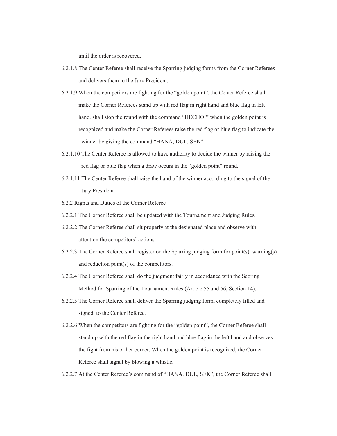until the order is recovered.

- 6.2.1.8 The Center Referee shall receive the Sparring judging forms from the Corner Referees and delivers them to the Jury President.
- 6.2.1.9 When the competitors are fighting for the "golden point", the Center Referee shall make the Corner Referees stand up with red flag in right hand and blue flag in left hand, shall stop the round with the command "HECHO!" when the golden point is recognized and make the Corner Referees raise the red flag or blue flag to indicate the winner by giving the command "HANA, DUL, SEK".
- 6.2.1.10 The Center Referee is allowed to have authority to decide the winner by raising the red flag or blue flag when a draw occurs in the "golden point" round.
- 6.2.1.11 The Center Referee shall raise the hand of the winner according to the signal of the Jury President.
- 6.2.2 Rights and Duties of the Corner Referee
- 6.2.2.1 The Corner Referee shall be updated with the Tournament and Judging Rules.
- 6.2.2.2 The Corner Referee shall sit properly at the designated place and observe with attention the competitors' actions.
- 6.2.2.3 The Corner Referee shall register on the Sparring judging form for point(s), warning(s) and reduction point(s) of the competitors.
- 6.2.2.4 The Corner Referee shall do the judgment fairly in accordance with the Scoring Method for Sparring of the Tournament Rules (Article 55 and 56, Section 14).
- 6.2.2.5 The Corner Referee shall deliver the Sparring judging form, completely filled and signed, to the Center Referee.
- 6.2.2.6 When the competitors are fighting for the "golden point", the Corner Referee shall stand up with the red flag in the right hand and blue flag in the left hand and observes the fight from his or her corner. When the golden point is recognized, the Corner Referee shall signal by blowing a whistle.
- 6.2.2.7 At the Center Referee's command of "HANA, DUL, SEK", the Corner Referee shall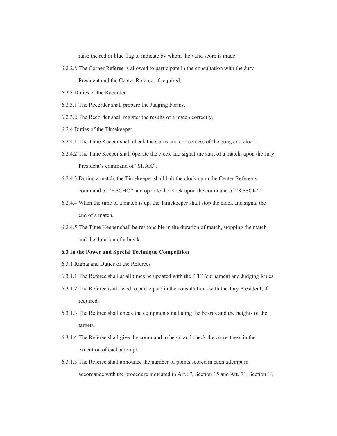raise the red or blue flag to indicate by whom the valid score is made.

- 6.2.2.8 The Corner Referee is allowed to participate in the consultation with the Jury President and the Center Referee, if required.
- 6.2.3 Duties of the Recorder
- 6.2.3.1 The Recorder shall prepare the Judging Forms.
- 6.2.3.2 The Recorder shall register the results of a match correctly.
- 6.2.4 Duties of the Timekeeper.
- 6.2.4.1 The Time Keeper shall check the status and correctness of the gong and clock.
- 6.2.4.2 The Time Keeper shall operate the clock and signal the start of a match, upon the Jury President's command of "SIJAK".
- 6.2.4.3 During a match, the Timekeeper shall halt the clock upon the Center Referee's command of "HECHO" and operate the clock upon the command of "KESOK".
- 6.2.4.4 When the time of a match is up, the Timekeeper shall stop the clock and signal the end of a match.
- 6.2.4.5 The Time Keeper shall be responsible in the duration of match, stopping the match and the duration of a break.

#### **6.3 In the Power and Special Technique Competition**

- 6.3.1 Rights and Duties of the Referees
- 6.3.1.1 The Referee shall at all times be updated with the ITF Tournament and Judging Rules.
- 6.3.1.2 The Referee is allowed to participate in the consultations with the Jury President, if required.
- 6.3.1.3 The Referee shall check the equipments including the boards and the heights of the targets.
- 6.3.1.4 The Referee shall give the command to begin and check the correctness in the execution of each attempt.
- 6.3.1.5 The Referee shall announce the number of points scored in each attempt in accordance with the procedure indicated in Art.67, Section 15 and Art. 71, Section 16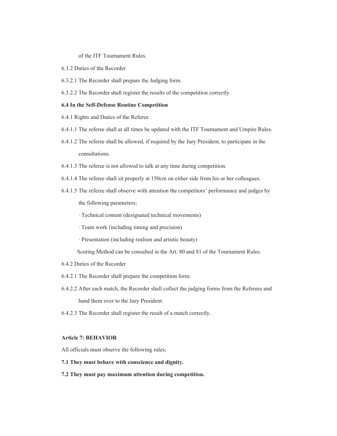of the ITF Tournament Rules.

- 6.3.2 Duties of the Recorder
- 6.3.2.1 The Recorder shall prepare the Judging form.

6.3.2.2 The Recorder shall register the results of the competition correctly.

#### **6.4 In the Self-Defense Routine Competition**

- 6.4.1 Rights and Duties of the Referee
- 6.4.1.1 The referee shall at all times be updated with the ITF Tournament and Umpire Rules.
- 6.4.1.2 The referee shall be allowed, if required by the Jury President, to participate in the consultations.
- 6.4.1.3 The referee is not allowed to talk at any time during competition.
- 6.4.1.4 The referee shall sit properly at 150cm on either side from his or her colleagues.
- 6.4.1.5 The referee shall observe with attention the competitors' performance and judges by the following parameters;
	- · Technical content (designated technical movements)
	- · Team work (including timing and precision)
	- · Presentation (including realism and artistic beauty)

Scoring Method can be consulted in the Art. 80 and 81 of the Tournament Rules.

- 6.4.2 Duties of the Recorder
- 6.4.2.1 The Recorder shall prepare the competition form.
- 6.4.2.2 After each match, the Recorder shall collect the judging forms from the Referees and hand them over to the Jury President.
- 6.4.2.3 The Recorder shall register the result of a match correctly.

## **Article 7: BEHAVIOR**

All officials must observe the following rules;

- **7.1 They must behave with conscience and dignity.**
- **7.2 They must pay maximum attention during competition.**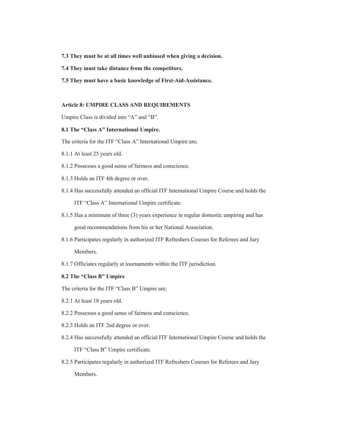- **7.3 They must be at all times well unbiased when giving a decision.**
- **7.4 They must take distance from the competitors.**
- **7.5 They must have a basic knowledge of First-Aid-Assistance.**

#### **Article 8: UMPIRE CLASS AND REQUIREMENTS**

Umpire Class is divided into "A" and "B".

#### 8.1 The "Class A" International Umpire.

The criteria for the ITF "Class A" International Umpire are;

- 8.1.1 At least 25 years old.
- 8.1.2 Possesses a good sense of fairness and conscience.
- 8.1.3 Holds an ITF 4th degree or over.
- 8.1.4 Has successfully attended an official ITF International Umpire Course and holds the ITF "Class A" International Umpire certificate.
- 8.1.5 Has a minimum of three (3) years experience in regular domestic umpiring and has good recommendations from his or her National Association.
- 8.1.6 Participates regularly in authorized ITF Refreshers Courses for Referees and Jury Members.
- 8.1.7 Officiates regularly at tournaments within the ITF jurisdiction.

#### **8.2 The "Class B" Umpire**

The criteria for the ITF "Class B" Umpire are;

- 8.2.1 At least 18 years old.
- 8.2.2 Possesses a good sense of fairness and conscience.
- 8.2.3 Holds an ITF 2nd degree or over.
- 8.2.4 Has successfully attended an official ITF International Umpire Course and holds the ITF "Class B" Umpire certificate.
- 8.2.5 Participates regularly in authorized ITF Refreshers Courses for Referees and Jury **Members**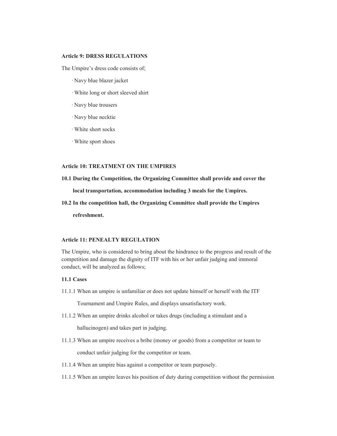## **Article 9: DRESS REGULATIONS**

The Umpire's dress code consists of;

- · Navy blue blazer jacket
- · White long or short sleeved shirt
- · Navy blue trousers
- · Navy blue necktie
- · White short socks
- · White sport shoes

## **Article 10: TREATMENT ON THE UMPIRES**

- **10.1 During the Competition, the Organizing Committee shall provide and cover the local transportation, accommodation including 3 meals for the Umpires.**
- **10.2 In the competition hall, the Organizing Committee shall provide the Umpires refreshment.**

#### **Article 11: PENEALTY REGULATION**

The Umpire, who is considered to bring about the hindrance to the progress and result of the competition and damage the dignity of ITF with his or her unfair judging and immoral conduct, will be analyzed as follows;

## **11.1 Cases**

11.1.1 When an umpire is unfamiliar or does not update himself or herself with the ITF

Tournament and Umpire Rules, and displays unsatisfactory work.

11.1.2 When an umpire drinks alcohol or takes drugs (including a stimulant and a

hallucinogen) and takes part in judging.

11.1.3 When an umpire receives a bribe (money or goods) from a competitor or team to

conduct unfair judging for the competitor or team.

- 11.1.4 When an umpire bias against a competitor or team purposely.
- 11.1.5 When an umpire leaves his position of duty during competition without the permission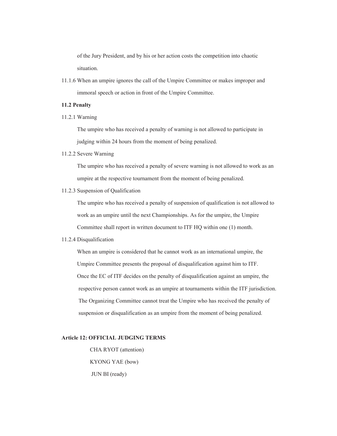of the Jury President, and by his or her action costs the competition into chaotic situation.

11.1.6 When an umpire ignores the call of the Umpire Committee or makes improper and immoral speech or action in front of the Umpire Committee.

## **11.2 Penalty**

11.2.1 Warning

 The umpire who has received a penalty of warning is not allowed to participate in judging within 24 hours from the moment of being penalized.

11.2.2 Severe Warning

 The umpire who has received a penalty of severe warning is not allowed to work as an umpire at the respective tournament from the moment of being penalized.

11.2.3 Suspension of Qualification

 The umpire who has received a penalty of suspension of qualification is not allowed to work as an umpire until the next Championships. As for the umpire, the Umpire Committee shall report in written document to ITF HQ within one (1) month.

11.2.4 Disqualification

 When an umpire is considered that he cannot work as an international umpire, the Umpire Committee presents the proposal of disqualification against him to ITF. Once the EC of ITF decides on the penalty of disqualification against an umpire, the respective person cannot work as an umpire at tournaments within the ITF jurisdiction. The Organizing Committee cannot treat the Umpire who has received the penalty of suspension or disqualification as an umpire from the moment of being penalized.

### **Article 12: OFFICIAL JUDGING TERMS**

 CHA RYOT (attention) KYONG YAE (bow) JUN BI (ready)